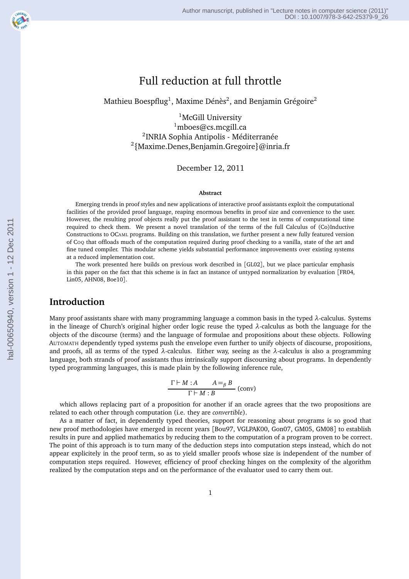

# Full reduction at full throttle

Mathieu Boespflug $^1$ , Maxime Dénès $^2$ , and Benjamin Grégoire $^2$ 

<sup>1</sup>McGill University mboes@cs.mcgill.ca INRIA Sophia Antipolis - Méditerranée {Maxime.Denes,Benjamin.Gregoire}@inria.fr

December 12, 2011

#### **Abstract**

Emerging trends in proof styles and new applications of interactive proof assistants exploit the computational facilities of the provided proof language, reaping enormous benefits in proof size and convenience to the user. However, the resulting proof objects really put the proof assistant to the test in terms of computational time required to check them. We present a novel translation of the terms of the full Calculus of (Co)Inductive Constructions to OCAML programs. Building on this translation, we further present a new fully featured version of COQ that offloads much of the computation required during proof checking to a vanilla, state of the art and fine tuned compiler. This modular scheme yields substantial performance improvements over existing systems at a reduced implementation cost.

The work presented here builds on previous work described in [GL02], but we place particular emphasis in this paper on the fact that this scheme is in fact an instance of untyped normalization by evaluation [FR04, Lin05, AHN08, Boe10].

### **Introduction**

Many proof assistants share with many programming language a common basis in the typed *λ*-calculus. Systems in the lineage of Church's original higher order logic reuse the typed *λ*-calculus as both the language for the objects of the discourse (terms) and the language of formulae and propositions about these objects. Following AUTOMATH dependently typed systems push the envelope even further to unify objects of discourse, propositions, and proofs, all as terms of the typed *λ*-calculus. Either way, seeing as the *λ*-calculus is also a programming language, both strands of proof assistants thus intrinsically support discoursing about programs. In dependently typed programming languages, this is made plain by the following inference rule,

$$
\frac{\Gamma \vdash M : A \qquad A =_{\beta} B}{\Gamma \vdash M : B} \text{ (conv)}
$$

which allows replacing part of a proposition for another if an oracle agrees that the two propositions are related to each other through computation (i.e. they are *convertible*).

As a matter of fact, in dependently typed theories, support for reasoning about programs is so good that new proof methodologies have emerged in recent years [Bou97, VGLPAK00, Gon07, GM05, GM08] to establish results in pure and applied mathematics by reducing them to the computation of a program proven to be correct. The point of this approach is to turn many of the deduction steps into computation steps instead, which do not appear explicitely in the proof term, so as to yield smaller proofs whose size is independent of the number of computation steps required. However, efficiency of proof checking hinges on the complexity of the algorithm realized by the computation steps and on the performance of the evaluator used to carry them out.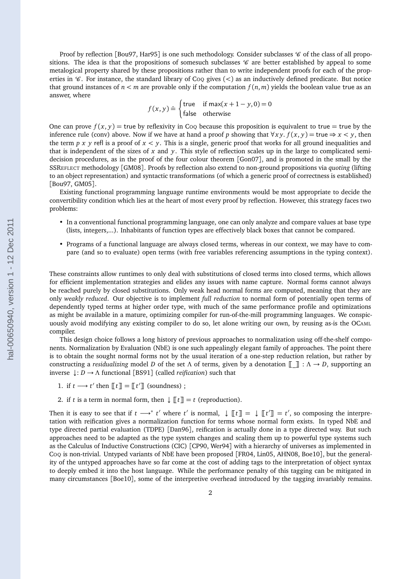Proof by reflection [Bou97, Har95] is one such methodology. Consider subclasses  $\mathscr C$  of the class of all propositions. The idea is that the propositions of somesuch subclasses  $\mathscr C$  are better established by appeal to some metalogical property shared by these propositions rather than to write independent proofs for each of the properties in  $\mathscr C$ . For instance, the standard library of Co<sub>Q</sub> gives ( $\lt$ ) as an inductively defined predicate. But notice that ground instances of  $n < m$  are provable only if the computation  $f(n, m)$  yields the boolean value true as an answer, where

$$
f(x, y) \triangleq \begin{cases} \text{true} & \text{if } \max(x + 1 - y, 0) = 0\\ \text{false} & \text{otherwise} \end{cases}
$$

One can prove  $f(x, y)$  = true by reflexivity in Coq because this proposition is equivalent to true = true by the inference rule (conv) above. Now if we have at hand a proof *p* showing that  $\forall xy$ .  $f(x, y) =$  true  $\Rightarrow x < y$ , then the term  $p \times y$  refl is a proof of  $x < y$ . This is a single, generic proof that works for all ground inequalities and that is independent of the sizes of *x* and *y*. This style of reflection scales up in the large to complicated semidecision procedures, as in the proof of the four colour theorem [Gon07], and is promoted in the small by the SSREFLECT methodology [GM08]. Proofs by reflection also extend to non-ground propositions via *quoting* (lifting to an object representation) and syntactic transformations (of which a generic proof of correctness is established) [Bou97, GM05].

Existing functional programming language runtime environments would be most appropriate to decide the convertibility condition which lies at the heart of most every proof by reflection. However, this strategy faces two problems:

- In a conventional functional programming language, one can only analyze and compare values at base type (lists, integers,...). Inhabitants of function types are effectively black boxes that cannot be compared.
- Programs of a functional language are always closed terms, whereas in our context, we may have to compare (and so to evaluate) open terms (with free variables referencing assumptions in the typing context).

These constraints allow runtimes to only deal with substitutions of closed terms into closed terms, which allows for efficient implementation strategies and elides any issues with name capture. Normal forms cannot always be reached purely by closed substitutions. Only weak head normal forms are computed, meaning that they are only *weakly reduced*. Our objective is to implement *full reduction* to normal form of potentially open terms of dependently typed terms at higher order type, with much of the same performance profile and optimizations as might be available in a mature, optimizing compiler for run-of-the-mill programming languages. We conspicuously avoid modifying any existing compiler to do so, let alone writing our own, by reusing as-is the OCAML compiler.

This design choice follows a long history of previous approaches to normalization using off-the-shelf components. Normalization by Evaluation (NbE) is one such appealingly elegant family of approaches. The point there is to obtain the sought normal forms not by the usual iteration of a one-step reduction relation, but rather by constructing a *residualizing* model *D* of the set  $\Lambda$  of terms, given by a denotation  $\[\ ]$  :  $\Lambda \to D$ , supporting an inverse ↓: *D* → Λ functional [BS91] (called *reification*) such that

- 1. if  $t \longrightarrow t'$  then  $[[t]] = [[t']]$  (soundness);
- 2. if *t* is a term in normal form, then  $\downarrow$   $\llbracket t \rrbracket = t$  (reproduction).

Then it is easy to see that if  $t \longrightarrow^* t'$  where  $t'$  is normal,  $\downarrow \llbracket t \rrbracket = \downarrow \llbracket t' \rrbracket = t'$ , so composing the interpretation with reification gives a normalization function for terms whose normal form exists. In typed NbE and type directed partial evaluation (TDPE) [Dan96], reification is actually done in a type directed way. But such approaches need to be adapted as the type system changes and scaling them up to powerful type systems such as the Calculus of Inductive Constructions (CIC) [CP90, Wer94] with a hierarchy of universes as implemented in COQ is non-trivial. Untyped variants of NbE have been proposed [FR04, Lin05, AHN08, Boe10], but the generality of the untyped approaches have so far come at the cost of adding tags to the interpretation of object syntax to deeply embed it into the host language. While the performance penalty of this tagging can be mitigated in many circumstances [Boe10], some of the interpretive overhead introduced by the tagging invariably remains.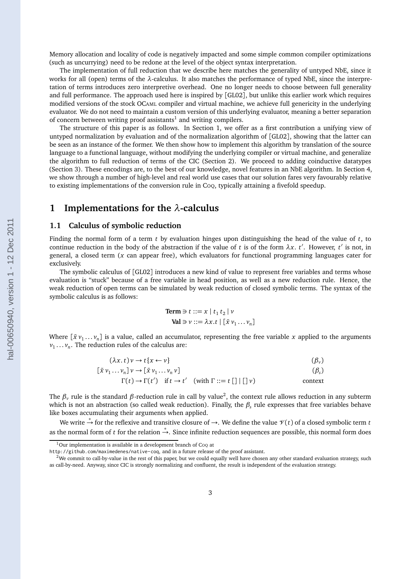Memory allocation and locality of code is negatively impacted and some simple common compiler optimizations (such as uncurrying) need to be redone at the level of the object syntax interpretation.

The implementation of full reduction that we describe here matches the generality of untyped NbE, since it works for all (open) terms of the *λ*-calculus. It also matches the performance of typed NbE, since the interpretation of terms introduces zero interpretive overhead. One no longer needs to choose between full generality and full performance. The approach used here is inspired by [GL02], but unlike this earlier work which requires modified versions of the stock OCAML compiler and virtual machine, we achieve full genericity in the underlying evaluator. We do not need to maintain a custom version of this underlying evaluator, meaning a better separation of concern between writing proof assistants<sup>1</sup> and writing compilers.

The structure of this paper is as follows. In Section 1, we offer as a first contribution a unifying view of untyped normalization by evaluation and of the normalization algorithm of [GL02], showing that the latter can be seen as an instance of the former. We then show how to implement this algorithm by translation of the source language to a functional language, without modifying the underlying compiler or virtual machine, and generalize the algorithm to full reduction of terms of the CIC (Section 2). We proceed to adding coinductive datatypes (Section 3). These encodings are, to the best of our knowledge, novel features in an NbE algorithm. In Section 4, we show through a number of high-level and real world use cases that our solution fares very favourably relative to existing implementations of the conversion rule in COQ, typically attaining a fivefold speedup.

### **1 Implementations for the** *λ***-calculus**

### **1.1 Calculus of symbolic reduction**

Finding the normal form of a term *t* by evaluation hinges upon distinguishing the head of the value of *t*, to continue reduction in the body of the abstraction if the value of *t* is of the form  $\lambda x$ . *t'*. However, *t'* is not, in general, a closed term (*x* can appear free), which evaluators for functional programming languages cater for exclusively.

The symbolic calculus of [GL02] introduces a new kind of value to represent free variables and terms whose evaluation is "stuck" because of a free variable in head position, as well as a new reduction rule. Hence, the weak reduction of open terms can be simulated by weak reduction of closed symbolic terms. The syntax of the symbolic calculus is as follows:

Term 
$$
\ni
$$
 t ::= x | t<sub>1</sub> t<sub>2</sub> | v  
Val  $\ni$  v ::=  $\lambda x.t$  | [ $\tilde{x}$  v<sub>1</sub>... v<sub>n</sub>]

Where  $[\tilde{x} v_1 ... v_n]$  is a value, called an accumulator, representing the free variable x applied to the arguments  $v_1 \ldots v_n$ . The reduction rules of the calculus are:

| $(\lambda x. t) v \rightarrow t \{ x \leftarrow v \}$                         | $(\beta_v)$   |
|-------------------------------------------------------------------------------|---------------|
| $[\tilde{x} v_1 \dots v_n] v \rightarrow [\tilde{x} v_1 \dots v_n v]$         | $(\beta_{s})$ |
| $\Gamma(t) \to \Gamma(t')$ if $t \to t'$ (with $\Gamma ::= t \cap  \cap v $ ) | context       |

The  $\beta_\nu$  rule is the standard β-reduction rule in call by value<sup>2</sup>, the context rule allows reduction in any subterm which is not an abstraction (so called weak reduction). Finally, the *β<sup>s</sup>* rule expresses that free variables behave like boxes accumulating their arguments when applied.

We write  $\stackrel{*}{\to}$  for the reflexive and transitive closure of  $\to$ . We define the value  $\mathcal{V}(t)$  of a closed symbolic term *t* as the normal form of *t* for the relation  $\stackrel{*}{\rightarrow}$ . Since infinite reduction sequences are possible, this normal form does

 $1$ Our implementation is available in a development branch of CoQ at

http://github.com/maximedenes/native-coq, and in a future release of the proof assistant.

 $2$ We commit to call-by-value in the rest of this paper, but we could equally well have chosen any other standard evaluation strategy, such as call-by-need. Anyway, since CIC is strongly normalizing and confluent, the result is independent of the evaluation strategy.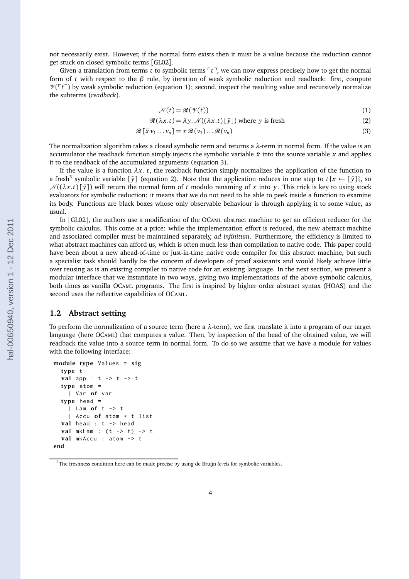not necessarily exist. However, if the normal form exists then it must be a value because the reduction cannot get stuck on closed symbolic terms [GL02].

Given a translation from terms *t* to symbolic terms  $\lceil t \rceil$ , we can now express precisely how to get the normal form of *t* with respect to the *β* rule, by iteration of weak symbolic reduction and readback: first, compute  $\mathcal{V}(\lceil t \rceil)$  by weak symbolic reduction (equation 1); second, inspect the resulting value and recursively normalize the subterms (*readback*).

$$
\mathcal{N}(t) = \mathcal{R}(\mathcal{V}(t))
$$
 (1)

 $\mathcal{R}(\lambda x.t) = \lambda y \cdot \mathcal{N}((\lambda x.t) [\tilde{y}])$  where *y* is fresh (2)

$$
\mathcal{R}[\tilde{x}\nu_1 \dots \nu_n] = x \mathcal{R}(\nu_1) \dots \mathcal{R}(\nu_n)
$$
\n(3)

The normalization algorithm takes a closed symbolic term and returns a *λ*-term in normal form. If the value is an accumulator the readback function simply injects the symbolic variable  $\tilde{x}$  into the source variable  $x$  and applies it to the readback of the accumulated arguments (equation 3).

If the value is a function  $\lambda x$ . *t*, the readback function simply normalizes the application of the function to a fresh<sup>3</sup> symbolic variable [ $\tilde{y}$ ] (equation 2). Note that the application reduces in one step to  $t\{x \leftarrow [\tilde{y}]\}$ , so  $\mathcal{N}((\lambda x,t) \mid \tilde{y})$  will return the normal form of t modulo renaming of x into *y*. This trick is key to using stock evaluators for symbolic reduction: it means that we do not need to be able to peek inside a function to examine its body. Functions are black boxes whose only observable behaviour is through applying it to some value, as usual.

In [GL02], the authors use a modification of the OCAML abstract machine to get an efficient reducer for the symbolic calculus. This come at a price: while the implementation effort is reduced, the new abstract machine and associated compiler must be maintained separately, *ad infinitum*. Furthermore, the efficiency is limited to what abstract machines can afford us, which is often much less than compilation to native code. This paper could have been about a new ahead-of-time or just-in-time native code compiler for this abstract machine, but such a specialist task should hardly be the concern of developers of proof assistants and would likely achieve little over reusing as is an existing compiler to native code for an existing language. In the next section, we present a modular interface that we instantiate in two ways, giving two implementations of the above symbolic calculus, both times as vanilla OCAML programs. The first is inspired by higher order abstract syntax (HOAS) and the second uses the reflective capabilities of OCAML.

#### **1.2 Abstract setting**

To perform the normalization of a source term (here a *λ*-term), we first translate it into a program of our target language (here OCAML) that computes a value. Then, by inspection of the head of the obtained value, we will readback the value into a source term in normal form. To do so we assume that we have a module for values with the following interface:

```
module type Values = sig
  type t
  val app : t -> t -> t
  type atom =
    | Var o f var
  type head =
    | Lam o f t -> t
    | Accu of atom * t list
  val head : t -> head
  val mkLam : (t -> t) -> t
  val mkAccu : atom -> t
end
```
<sup>3</sup>The freshness condition here can be made precise by using de Bruijn *levels* for symbolic variables.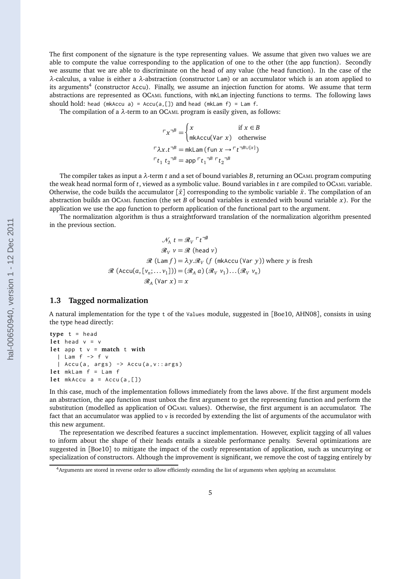The first component of the signature is the type representing values. We assume that given two values we are able to compute the value corresponding to the application of one to the other (the app function). Secondly we assume that we are able to discriminate on the head of any value (the head function). In the case of the *λ*-calculus, a value is either a *λ*-abstraction (constructor Lam) or an accumulator which is an atom applied to its arguments<sup>4</sup> (constructor Accu). Finally, we assume an injection function for atoms. We assume that term abstractions are represented as OCAML functions, with mkLam injecting functions to terms. The following laws should hold: head (mkAccu a) =  $Accu(a, [])$  and head (mkLam f) = Lam f.

The compilation of a *λ*-term to an OCAML program is easily given, as follows:

$$
\begin{aligned}\n\Gamma_X \neg^B &= \begin{cases}\nx & \text{if } x \in B \\
\text{mkAccu(Var } x) & \text{otherwise}\n\end{cases} \\
\Gamma \lambda x. t^{-B} &= \text{mkLam (fun } x \rightarrow \Gamma t^{-B \cup \{x\}}) \\
\Gamma t_1 \ t_2^{-B} &= \text{app } \Gamma t_1^{-B} \Gamma t_2^{-B}\n\end{aligned}
$$

The compiler takes as input a *λ*-term *t* and a set of bound variables *B*, returning an OCAML program computing the weak head normal form of *t*, viewed as a symbolic value. Bound variables in *t* are compiled to OCAML variable. Otherwise, the code builds the accumulator  $\lceil \tilde{x} \rceil$  corresponding to the symbolic variable  $\tilde{x}$ . The compilation of an abstraction builds an OCAML function (the set *B* of bound variables is extended with bound variable *x*). For the application we use the app function to perform application of the functional part to the argument.

The normalization algorithm is thus a straightforward translation of the normalization algorithm presented in the previous section.

$$
\mathcal{N}_{\Lambda} t = \mathcal{R}_{V} \Gamma t^{-\emptyset}
$$
  

$$
\mathcal{R}_{V} v = \mathcal{R} \text{ (head } v)
$$
  

$$
\mathcal{R} (\text{Lam } f) = \lambda y. \mathcal{R}_{V} \text{ (f (mkAccu (Var y)) where y is fresh)}
$$
  

$$
\mathcal{R} (\text{Accu}(a, [v_{n};...v_{1}])) = (\mathcal{R}_{A} a) (\mathcal{R}_{V} v_{1}) ... (\mathcal{R}_{V} v_{n})
$$
  

$$
\mathcal{R}_{A} (\text{Var } x) = x
$$

#### **1.3 Tagged normalization**

A natural implementation for the type t of the Values module, suggested in [Boe10, AHN08], consists in using the type head directly:

```
type t = head
let head v = vlet app t \vee = match t with
  | Lam f \rightarrow f \vee| Accu(a, args) -> Accu(a, v: : args)
let mkLam f = Lam f
let mkAccu a = Accu(a, [])
```
In this case, much of the implementation follows immediately from the laws above. If the first argument models an abstraction, the app function must unbox the first argument to get the representing function and perform the substitution (modelled as application of OCAML values). Otherwise, the first argument is an accumulator. The fact that an accumulator was applied to v is recorded by extending the list of arguments of the accumulator with this new argument.

The representation we described features a succinct implementation. However, explicit tagging of all values to inform about the shape of their heads entails a sizeable performance penalty. Several optimizations are suggested in [Boe10] to mitigate the impact of the costly representation of application, such as uncurrying or specialization of constructors. Although the improvement is significant, we remove the cost of tagging entirely by

<sup>&</sup>lt;sup>4</sup> Arguments are stored in reverse order to allow efficiently extending the list of arguments when applying an accumulator.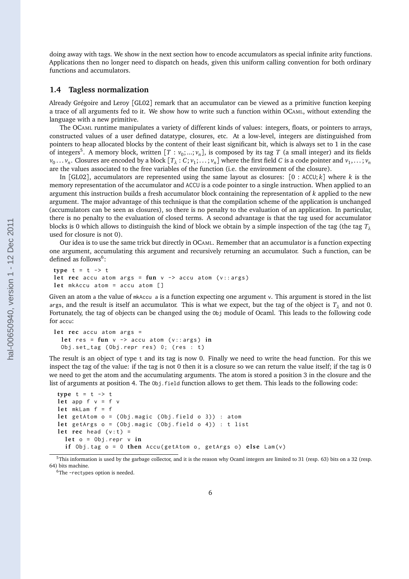doing away with tags. We show in the next section how to encode accumulators as special infinite arity functions. Applications then no longer need to dispatch on heads, given this uniform calling convention for both ordinary functions and accumulators.

### **1.4 Tagless normalization**

Already Grégoire and Leroy [GL02] remark that an accumulator can be viewed as a primitive function keeping a trace of all arguments fed to it. We show how to write such a function within OCAML, without extending the language with a new primitive.

The OCAML runtime manipulates a variety of different kinds of values: integers, floats, or pointers to arrays, constructed values of a user defined datatype, closures, etc. At a low-level, integers are distinguished from pointers to heap allocated blocks by the content of their least significant bit, which is always set to 1 in the case of integers<sup>5</sup>. A memory block, written  $[T:v_0;...;v_n]$ , is composed by its tag  $T$  (a small integer) and its fields  $v_0 \ldots v_n$ . Closures are encoded by a block  $[T_\lambda:C;v_1;\ldots;v_n]$  where the first field *C* is a code pointer and  $v_1,\ldots;v_n$ are the values associated to the free variables of the function (i.e. the environment of the closure).

In [GL02], accumulators are represented using the same layout as closures: [0 : ACCU; *k*] where *k* is the memory representation of the accumulator and ACCU is a code pointer to a single instruction. When applied to an argument this instruction builds a fresh accumulator block containing the representation of *k* applied to the new argument. The major advantage of this technique is that the compilation scheme of the application is unchanged (accumulators can be seen as closures), so there is no penalty to the evaluation of an application. In particular, there is no penalty to the evaluation of closed terms. A second advantage is that the tag used for accumulator blocks is 0 which allows to distinguish the kind of block we obtain by a simple inspection of the tag (the tag *T<sup>λ</sup>* used for closure is not 0).

Our idea is to use the same trick but directly in OCAML. Remember that an accumulator is a function expecting one argument, accumulating this argument and recursively returning an accumulator. Such a function, can be defined as follows<sup>6</sup>:

```
type t = t \rightarrow tlet rec accu atom args = fun v \rightarrow accu atom (v:: args)
let mkAccu atom = accu atom []
```
Given an atom a the value of mkAccu a is a function expecting one argument v. This argument is stored in the list args, and the result is itself an accumulator. This is what we expect, but the tag of the object is *T<sup>λ</sup>* and not 0. Fortunately, the tag of objects can be changed using the Obj module of Ocaml. This leads to the following code for accu:

```
let rec accu atom args =
  let res = fun v \rightarrow accu atom (v::args) inObj.set\_tag (Obj. repr res) 0; (res : t)
```
The result is an object of type t and its tag is now 0. Finally we need to write the head function. For this we inspect the tag of the value: if the tag is not 0 then it is a closure so we can return the value itself; if the tag is 0 we need to get the atom and the accumulating arguments. The atom is stored a position 3 in the closure and the list of arguments at position 4. The  $Obj$ , field function allows to get them. This leads to the following code:

```
type t = t \rightarrow tlet app f v = f vl e t mkLam f = f
let getAtom o = (Obj.magic (Obj.field o 3)) : atom
let getArgs o = (Obj.magic (Obj.field o 4)) : t list
let rec head (v:t) =let o = 0bj. repr v inif Obj.tag o = 0 then Accu (getAtom o, getArgs o) else Lam (v)
```
<sup>&</sup>lt;sup>5</sup>This information is used by the garbage collector, and it is the reason why Ocaml integers are limited to 31 (resp. 63) bits on a 32 (resp. 64) bits machine.

<sup>&</sup>lt;sup>6</sup>The -rectypes option is needed.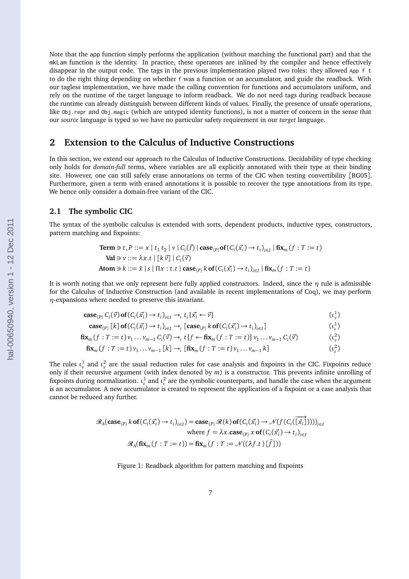Note that the app function simply performs the application (without matching the functional part) and that the mkLam function is the identity. In practice, these operators are inlined by the compiler and hence effectively disappear in the output code. The tags in the previous implementation played two roles: they allowed App f t to do the right thing depending on whether f was a function or an accumulator, and guide the readback. With our tagless implementation, we have made the calling convention for functions and accumulators uniform, and rely on the runtime of the target language to inform readback. We do not need tags during readback because the runtime can already distinguish between different kinds of values. Finally, the presence of unsafe operations, like Obj.repr and Obj.magic (which are untyped identity functions), is not a matter of concern in the sense that our *source* language is typed so we have no particular safety requirement in our *target* language.

# **2 Extension to the Calculus of Inductive Constructions**

In this section, we extend our approach to the Calculus of Inductive Constructions. Decidability of type checking only holds for *domain-full* terms, where variables are all explicitly annotated with their type at their binding site. However, one can still safely erase annotations on terms of the CIC when testing convertibility [BG05]. Furthermore, given a term with erased annotations it is possible to recover the type annotations from its type. We hence only consider a domain-free variant of the CIC.

### **2.1 The symbolic CIC**

The syntax of the symbolic calculus is extended with sorts, dependent products, inductive types, constructors, pattern matching and fixpoints:

Term 
$$
\ni
$$
  $t, P ::= x | t_1 t_2 | v | C_i(\vec{t}) | \case_{(P)} \text{of}(C_i(\vec{x_i}) \rightarrow t_i)_{i \in I} | \text{fix}_m(f : T := t)$   
\nVal  $\ni v ::= \lambda x.t | [k \vec{v}] | C_i(\vec{v})$   
\nAtom  $\ni k ::= \tilde{x} | s | \Pi x : t.t | \case_{(P)} k \text{of}(C_i(\vec{x_i}) \rightarrow t_i)_{i \in I} | \text{fix}_m(f : T := t)$ 

It is worth noting that we only represent here fully applied constructors. Indeed, since the *η* rule is admissible for the Calculus of Inductive Construction (and available in recent implementations of Coq), we may perform *η*-expansions where needed to preserve this invariant.

$$
\mathbf{case}_{\langle P\rangle} C_i(\vec{v}) \mathbf{of} (C_i(\vec{x_i}) \to t_i)_{i \in I} \to_t t_i \{ \vec{x_i} \leftarrow \vec{v} \}
$$

$$
\mathbf{case}_{\langle P\rangle}\left[k\right]\mathbf{of}(C_i(\vec{x_i})\to t_i)_{i\in I}\to_{\iota}[\mathbf{case}_{\langle P\rangle}\,k\,\mathbf{of}(C_i(\vec{x_i})\to t_i)_{i\in I}]
$$

$$
\mathbf{fix}_{m}(f: T := t) v_1 \dots v_{m-1} C_i(\vec{v}) \rightarrow_t t \{f \leftarrow \mathbf{fix}_{m}(f: T := t) \} v_1 \dots v_{m-1} C_i(\vec{v})
$$
 (t<sub>v</sub><sup>2</sup>)

$$
\mathbf{fix}_{m}(f: T := t) \, v_1 \dots v_{m-1} \, [k] \to_{\iota} [\mathbf{fix}_{m}(f: T := t) \, v_1 \dots v_{m-1} \, k] \tag{12}
$$

The rules  $\iota_v^1$  and  $\iota_v^2$  are the usual reduction rules for case analysis and fixpoints in the CIC. Fixpoints reduce only if their recursive argument (with index denoted by *m*) is a constructor. This prevents infinite unrolling of fixpoints during normalization.  $\iota_s^1$  and  $\iota_s^2$  are the symbolic counterparts, and handle the case when the argument is an accumulator. A new accumulator is created to represent the application of a fixpoint or a case analysis that cannot be reduced any further.

$$
\mathcal{R}_A(\mathbf{case}_{\langle P\rangle} k \, \mathbf{of}(C_i(\vec{x_i}) \to t_i)_{i \in I}) = \mathbf{case}_{\langle P\rangle} \mathcal{R}(k) \, \mathbf{of}(C_i(\vec{x_i}) \to \mathcal{N}(f(C_i(\overrightarrow{[x_i]}))))_{i \in I})
$$
\n
$$
\text{where } f = \lambda x. \mathbf{case}_{\langle P\rangle} x \, \mathbf{of}(C_i(\vec{x_i}) \to t_i)_{i \in I}
$$
\n
$$
\mathcal{R}_A(\mathbf{fix}_m(f: T := t)) = \mathbf{fix}_m(f: T := \mathcal{N}((\lambda f.t) [\tilde{f}]))
$$

Figure 1: Readback algorithm for pattern matching and fixpoints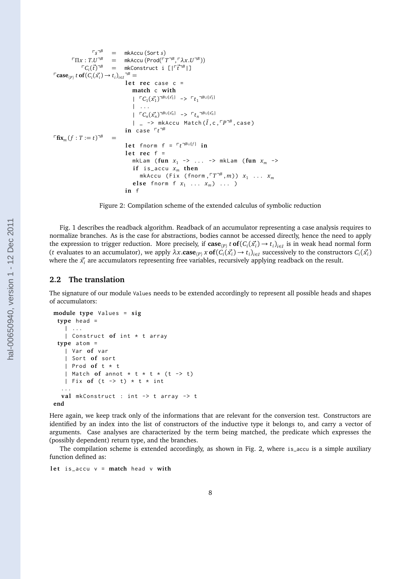```
\Gamma_S<sup>¬B</sup>
                                   B = mkAccu (Sort s)
          \ulcornerΠx : T.U\urcorner<sup>B</sup>
                             B = \text{mkAccu (Prod}(\ulcorner T \urcorner^B, \ulcorner \lambda x. U \urcorner^B))\int_{0}^{\infty} C_i(\vec{t})^{\pi B} = mkConstruct i [|\int_{0}^{\infty} \vec{t}^{\pi B}|]
\int \textbf{case}_{\langle P \rangle} t \textbf{ of } (C_i(\vec{x_i}) \to t_i)_{i \in I} \textbf{ }^{\exists B} =let rec case c =
                                                match c with
                                                 | \Gamma C_1(\vec{x_1})<sup>¬B∪{\vec{x_1}}</sup> -> \Gamma t_1<sup>¬B∪{\vec{x_1}}</sup>
                                                 | ...
                                                 | \Gamma C_n(\vec{x}_n)<sup>πB∪{\vec{x}_n}</sup> -> \Gamma t_n<sup>πB∪{\vec{x}_n}</sup>
                                                 | \Box -> mkAccu Match(\tilde{I},c,<sup>r</sup>P^{\neg B},case)
                                             \mathbf{in} case \ulcorner t\urcorner^B\int f \mathbf{f} \mathbf{x}_m (f : T := t)^{\neg B} =\textbf{let} fnorm f = \ulcorner t\neg^{B\cup\{f\}} in
                                            let rec f =mkLam ( fun x_1 -> ... -> mkLam (fun x_m ->
                                                 if is_accu x_m then
                                                      mkAccu (Fix (fnorm,T^{-B}, m)) x_1 ... x_melse fnorm f x_1 ... x_m) ... )
                                            in f
```
Figure 2: Compilation scheme of the extended calculus of symbolic reduction

Fig. 1 describes the readback algorithm. Readback of an accumulator representing a case analysis requires to normalize branches. As is the case for abstractions, bodies cannot be accessed directly, hence the need to apply the expression to trigger reduction. More precisely, if  $\textbf{case}_{(P)}$  *t*  $\textbf{of}(C_i(\vec{x_i}) \to t_i)_{i \in I}$  is in weak head normal form (*t* evaluates to an accumulator), we apply  $\lambda x$ .case<sub>(*p*)</sub>  $x$  of( $C_i(\vec{x}_i) \to t_i$ )<sub>*i*el</sub> successively to the constructors  $C_i(\vec{x}_i)$ where the  $\vec{x}$ <sup>*i*</sup> are accumulators representing free variables, recursively applying readback on the result.

#### **2.2 The translation**

The signature of our module Values needs to be extended accordingly to represent all possible heads and shapes of accumulators:

```
module type Values = sig
 type head =
   | ...
   | Construct o f int * t array
 type atom =
   | Var o f var
   | Sort o f sort
   | Prod o f t * t
   | Match of annot * t * t * (t -> t)
   | Fix of (t \rightarrow t) * t * int...
  val mkConstruct : int -> t array -> t
end
```
Here again, we keep track only of the informations that are relevant for the conversion test. Constructors are identified by an index into the list of constructors of the inductive type it belongs to, and carry a vector of arguments. Case analyses are characterized by the term being matched, the predicate which expresses the (possibly dependent) return type, and the branches.

The compilation scheme is extended accordingly, as shown in Fig. 2, where is\_accu is a simple auxiliary function defined as:

let is\_accu v = match head v with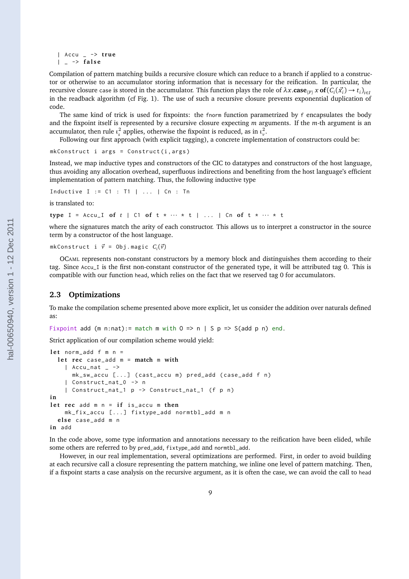| Accu \_ -> **t r u e** | \_ -> **f a l s e**

Compilation of pattern matching builds a recursive closure which can reduce to a branch if applied to a constructor or otherwise to an accumulator storing information that is necessary for the reification. In particular, the recursive closure case is stored in the accumulator. This function plays the role of  $\lambda x.$   $\bf{case}_{\langle P \rangle}$  x  $\bf{of}(C_i(\vec{x_i})$   $\to$   $t_i)_{i \in I}$ in the readback algorithm (cf Fig. 1). The use of such a recursive closure prevents exponential duplication of code.

The same kind of trick is used for fixpoints: the fnorm function parametrized by f encapsulates the body and the fixpoint itself is represented by a recursive closure expecting *m* arguments. If the *m*-th argument is an accumulator, then rule  $\iota_s^2$  applies, otherwise the fixpoint is reduced, as in  $\iota_v^2$ .

Following our first approach (with explicit tagging), a concrete implementation of constructors could be:

mkConstruct i args = Construct(i, args)

Instead, we map inductive types and constructors of the CIC to datatypes and constructors of the host language, thus avoiding any allocation overhead, superfluous indirections and benefiting from the host language's efficient implementation of pattern matching. Thus, the following inductive type

Inductive I := C1 : T1 | ... | Cn : Tn

is translated to:

**type**  $I = Accu_I$  of  $t \mid C1$  of  $t * \cdots * t \mid ... \mid Cn$  of  $t * \cdots * t$ 

where the signatures match the arity of each constructor. This allows us to interpret a constructor in the source term by a constructor of the host language.

 $m$ kConstruct i  $\vec{v}$  = Obj.magic  $C_i(\vec{v})$ 

OCAML represents non-constant constructors by a memory block and distinguishes them according to their tag. Since Accu\_I is the first non-constant constructor of the generated type, it will be attributed tag 0. This is compatible with our function head, which relies on the fact that we reserved tag 0 for accumulators.

#### **2.3 Optimizations**

To make the compilation scheme presented above more explicit, let us consider the addition over naturals defined as:

Fixpoint add (m n:nat):= match m with  $0 \Rightarrow n \mid S$  p => S(add p n) end.

Strict application of our compilation scheme would yield:

```
let norm_add f m n =
  let rec case_add m = match m with
    | Accu_nat - ->
      mk_sw_accu [...] (cast_accu m) pred_add (case_add f n)
    | Construct nat 0 -> n
    | Construct_nat_1 p -> Construct_nat_1 (f p n )
in
let rec add m = if is accu m then
    mk_fix_accu [...] fixtype_add normtbl_add m n
  e l s e case_add m n
in add
```
In the code above, some type information and annotations necessary to the reification have been elided, while some others are referred to by pred\_add, fixtype\_add and normtbl\_add.

However, in our real implementation, several optimizations are performed. First, in order to avoid building at each recursive call a closure representing the pattern matching, we inline one level of pattern matching. Then, if a fixpoint starts a case analysis on the recursive argument, as it is often the case, we can avoid the call to head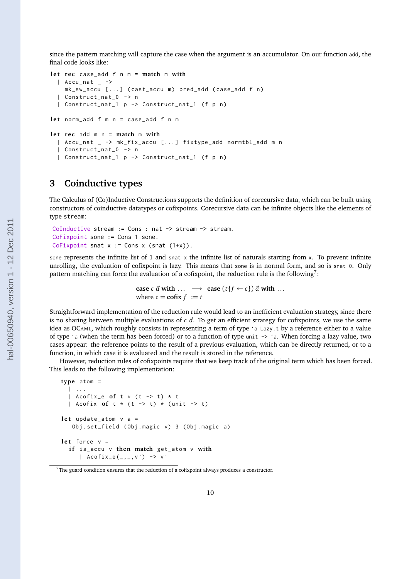since the pattern matching will capture the case when the argument is an accumulator. On our function add, the final code looks like:

```
let rec case_add f n m = match m with
  | Accu_nat - ->
    mk_sw_accu [...] (cast_accu m) pred_add (case_add f n)
   | Construct_nat_0 -> n
  | Construct nat 1 p -> Construct nat 1 (f p n)
let norm_add f m n = case_add f n m
let rec add m n = match m with
  | Accu_nat _ -> mk_fix_accu [...] fixtype_add normtbl_add m n
  | Construct_nat_0 -> n
  | Construct_nat_1 p -> Construct_nat_1 ( f p n )
```
### **3 Coinductive types**

The Calculus of (Co)Inductive Constructions supports the definition of corecursive data, which can be built using constructors of coinductive datatypes or cofixpoints. Corecursive data can be infinite objects like the elements of type stream:

```
CoInductive stream := Cons : nat -> stream -> stream.
CoFixpoint sone := Cons 1 sone.
CoFixpoint snat x := Cons x (snat (1+x)).
```
sone represents the infinite list of 1 and snat x the infinite list of naturals starting from x. To prevent infinite unrolling, the evaluation of cofixpoint is lazy. This means that sone is in normal form, and so is snat 0. Only pattern matching can force the evaluation of a cofixpoint, the reduction rule is the following<sup>7</sup>:

> **case**  $c \, d$  **with** ...  $\longrightarrow$  **case**  $(t \{f \leftarrow c\}) d$  **with** ... where  $c = \text{cofix } f := t$

Straightforward implementation of the reduction rule would lead to an inefficient evaluation strategy, since there is no sharing between multiple evaluations of  $c \, \bar{a}$ . To get an efficient strategy for cofixpoints, we use the same idea as OCAML, which roughly consists in representing a term of type 'a Lazy.t by a reference either to a value of type 'a (when the term has been forced) or to a function of type unit -> 'a. When forcing a lazy value, two cases appear: the reference points to the result of a previous evaluation, which can be directly returned, or to a function, in which case it is evaluated and the result is stored in the reference.

However, reduction rules of cofixpoints require that we keep track of the original term which has been forced. This leads to the following implementation:

```
type atom =
  | \cdot |...
  | Acofix_e o f t * ( t -> t ) * t
  | Acofix of t * (t -> t) * (unit -> t)let update atom v a =
   Obj.set_field (Obj.magic v) 3 (Obj.magic a)
let force v =if is_accu v then match get_atom v with
     | Acofix_e(<sub>-,-</sub>,v' ) -> v'
```
 $7$ The guard condition ensures that the reduction of a cofixpoint always produces a constructor.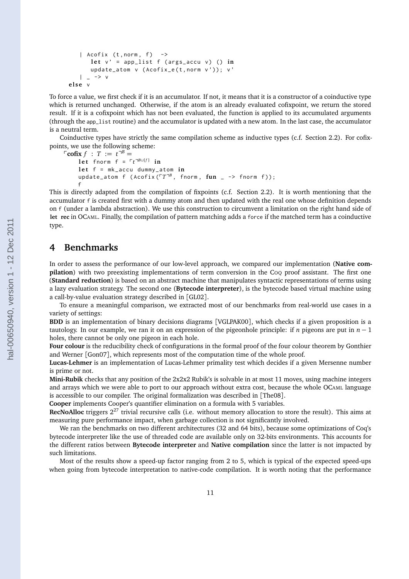```
| Acofix (t, norm, f) ->
       let v' = app\_list f (args\_accu v) () inupdate_atom v ( Acofix_e (t , norm v ')); v '
   | - \rightarrow v
e l s e v
```
To force a value, we first check if it is an accumulator. If not, it means that it is a constructor of a coinductive type which is returned unchanged. Otherwise, if the atom is an already evaluated cofixpoint, we return the stored result. If it is a cofixpoint which has not been evaluated, the function is applied to its accumulated arguments (through the app\_list routine) and the accumulator is updated with a new atom. In the last case, the accumulator is a neutral term.

Coinductive types have strictly the same compilation scheme as inductive types (c.f. Section 2.2). For cofixpoints, we use the following scheme:

```
\int \cot x f : T := t^{\exists B} =\textbf{let} fnorm f = \ulcorner t¬B∪{f} \textbf{in}let f = mk_accu dummy_atom in
     update\_atom f (Acofix(T^{nB}, fnorm, fun \rightarrow fnorm f));
     f
```
This is directly adapted from the compilation of fixpoints (c.f. Section 2.2). It is worth mentioning that the accumulator f is created first with a dummy atom and then updated with the real one whose definition depends on f (under a lambda abstraction). We use this construction to circumvent a limitation on the right hand side of **let rec** in OCAML. Finally, the compilation of pattern matching adds a force if the matched term has a coinductive type.

# **4 Benchmarks**

In order to assess the performance of our low-level approach, we compared our implementation (**Native compilation**) with two preexisting implementations of term conversion in the Coo proof assistant. The first one (**Standard reduction**) is based on an abstract machine that manipulates syntactic representations of terms using a lazy evaluation strategy. The second one (**Bytecode interpreter**), is the bytecode based virtual machine using a call-by-value evaluation strategy described in [GL02].

To ensure a meaningful comparison, we extracted most of our benchmarks from real-world use cases in a variety of settings:

**BDD** is an implementation of binary decisions diagrams [VGLPAK00], which checks if a given proposition is a tautology. In our example, we ran it on an expression of the pigeonhole principle: if *n* pigeons are put in  $n - 1$ holes, there cannot be only one pigeon in each hole.

**Four colour** is the reducibility check of configurations in the formal proof of the four colour theorem by Gonthier and Werner [Gon07], which represents most of the computation time of the whole proof.

**Lucas-Lehmer** is an implementation of Lucas-Lehmer primality test which decides if a given Mersenne number is prime or not.

**Mini-Rubik** checks that any position of the 2x2x2 Rubik's is solvable in at most 11 moves, using machine integers and arrays which we were able to port to our approach without extra cost, because the whole OCAML language is accessible to our compiler. The original formalization was described in [The08].

**Cooper** implements Cooper's quantifier elimination on a formula with 5 variables.

**RecNoAlloc** triggers  $2^{27}$  trivial recursive calls (i.e. without memory allocation to store the result). This aims at measuring pure performance impact, when garbage collection is not significantly involved.

We ran the benchmarks on two different architectures (32 and 64 bits), because some optimizations of Coq's bytecode interpreter like the use of threaded code are available only on 32-bits environments. This accounts for the different ratios between **Bytecode interpreter** and **Native compilation** since the latter is not impacted by such limitations.

Most of the results show a speed-up factor ranging from 2 to 5, which is typical of the expected speed-ups when going from bytecode interpretation to native-code compilation. It is worth noting that the performance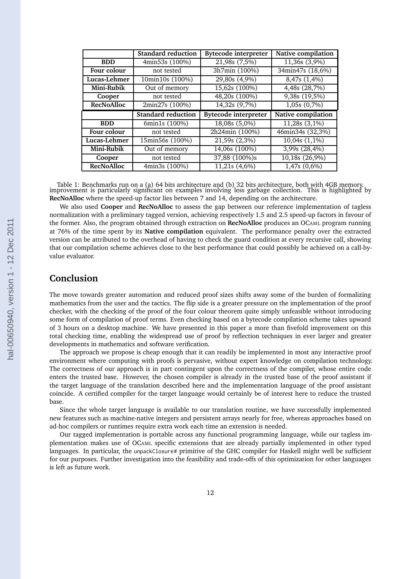|                   | <b>Standard reduction</b>     | <b>Bytecode interpreter</b> | <b>Native compilation</b> |
|-------------------|-------------------------------|-----------------------------|---------------------------|
| <b>BDD</b>        | 4min53s (100%)                | 21,98s (7,5%)               | 11,36s (3,9%)             |
| Four colour       | not tested                    | 3h7min (100%)               | 34min47s (18,6%)          |
| Lucas-Lehmer      | $\overline{10}$ min10s (100%) | 29,80s (4,9%)               | 8,47s (1,4%)              |
| Mini-Rubik        | Out of memory                 | 15,62s (100%)               | 4,48s (28,7%)             |
| Cooper            | not tested                    | 48,20s (100%)               | 9,38s (19,5%)             |
| <b>RecNoAlloc</b> | 2min27s (100%)                | 14,32s (9,7%)               | 1,05s(0,7%)               |
|                   |                               |                             |                           |
|                   | <b>Standard reduction</b>     | <b>Bytecode interpreter</b> | Native compilation        |
| <b>BDD</b>        | 6min1s (100%)                 | 18,08s (5,0%)               | 11,28s (3,1%)             |
| Four colour       | not tested                    | 2h24min (100%)              | 46min34s (32,3%)          |
| Lucas-Lehmer      | $\overline{15}$ min56s (100%) | 21,59s (2,3%)               | 10,04s (1,1%)             |
| Mini-Rubik        | Out of memory                 | 14,06s (100%)               | 3,99s (28,4%)             |
| Cooper            | not tested                    | 37,88 (100%)s               | 10,18s (26,9%)            |

Table 1: Benchmarks run on a (a) 64 bits architecture and (b) 32 bits architecture, both with 4GB memory. improvement is particularly significant on examples involving less garbage collection. This is highlighted by **RecNoAlloc** where the speed-up factor lies between 7 and 14, depending on the architecture.

We also used **Cooper** and **RecNoAlloc** to assess the gap between our reference implementation of tagless normalization with a preliminary tagged version, achieving respectively 1.5 and 2.5 speed-up factors in favour of the former. Also, the program obtained through extraction on **RecNoAlloc** produces an OCAML program running at 76% of the time spent by its **Native compilation** equivalent. The performance penalty over the extracted version can be attributed to the overhead of having to check the guard condition at every recursive call, showing that our compilation scheme achieves close to the best performance that could possibly be achieved on a call-byvalue evaluator.

# **Conclusion**

The move towards greater automation and reduced proof sizes shifts away some of the burden of formalizing mathematics from the user and the tactics. The flip side is a greater pressure on the implementation of the proof checker, with the checking of the proof of the four colour theorem quite simply unfeasible without introducing some form of compilation of proof terms. Even checking based on a bytecode compilation scheme takes upward of 3 hours on a desktop machine. We have presented in this paper a more than fivefold improvement on this total checking time, enabling the widespread use of proof by reflection techniques in ever larger and greater developments in mathematics and software verification.

The approach we propose is cheap enough that it can readily be implemented in most any interactive proof environment where computing with proofs is pervasive, without expert knowledge on compilation technology. The correctness of our approach is in part contingent upon the correctness of the compiler, whose entire code enters the trusted base. However, the chosen compiler is already in the trusted base of the proof assistant if the target language of the translation described here and the implementation language of the proof assistant coincide. A certified compiler for the target language would certainly be of interest here to reduce the trusted base.

Since the whole target language is available to our translation routine, we have successfully implemented new features such as machine-native integers and persistent arrays nearly for free, whereas approaches based on ad-hoc compilers or runtimes require extra work each time an extension is needed.

Our tagged implementation is portable across any functional programming language, while our tagless implementation makes use of OCAML specific extensions that are already partially implemented in other typed languages. In particular, the unpackClosure# primitive of the GHC compiler for Haskell might well be sufficient for our purposes. Further investigation into the feasibility and trade-offs of this optimization for other languages is left as future work.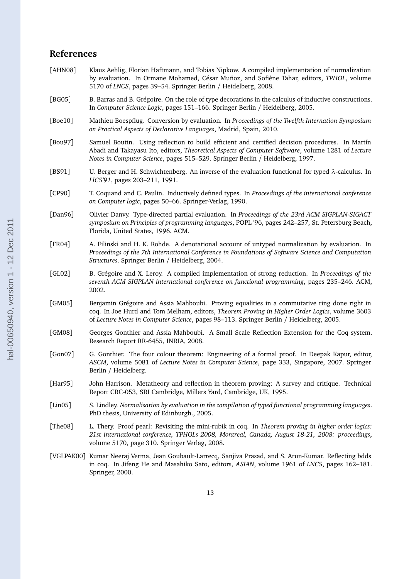### **References**

- [AHN08] Klaus Aehlig, Florian Haftmann, and Tobias Nipkow. A compiled implementation of normalization by evaluation. In Otmane Mohamed, César Muñoz, and Sofiène Tahar, editors, *TPHOL*, volume 5170 of *LNCS*, pages 39–54. Springer Berlin / Heidelberg, 2008.
- [BG05] B. Barras and B. Grégoire. On the role of type decorations in the calculus of inductive constructions. In *Computer Science Logic*, pages 151–166. Springer Berlin / Heidelberg, 2005.
- [Boe10] Mathieu Boespflug. Conversion by evaluation. In *Proceedings of the Twelfth Internation Symposium on Practical Aspects of Declarative Languages*, Madrid, Spain, 2010.
- [Bou97] Samuel Boutin. Using reflection to build efficient and certified decision procedures. In Martín Abadi and Takayasu Ito, editors, *Theoretical Aspects of Computer Software*, volume 1281 of *Lecture Notes in Computer Science*, pages 515–529. Springer Berlin / Heidelberg, 1997.
- [BS91] U. Berger and H. Schwichtenberg. An inverse of the evaluation functional for typed *λ*-calculus. In *LICS'91*, pages 203–211, 1991.
- [CP90] T. Coquand and C. Paulin. Inductively defined types. In *Proceedings of the international conference on Computer logic*, pages 50–66. Springer-Verlag, 1990.
- [Dan96] Olivier Danvy. Type-directed partial evaluation. In *Proceedings of the 23rd ACM SIGPLAN-SIGACT symposium on Principles of programming languages*, POPL '96, pages 242–257, St. Petersburg Beach, Florida, United States, 1996. ACM.
- [FR04] A. Filinski and H. K. Rohde. A denotational account of untyped normalization by evaluation. In *Proceedings of the 7th International Conference in Foundations of Software Science and Computation Structures*. Springer Berlin / Heidelberg, 2004.
- [GL02] B. Grégoire and X. Leroy. A compiled implementation of strong reduction. In *Proceedings of the seventh ACM SIGPLAN international conference on functional programming*, pages 235–246. ACM, 2002.
- [GM05] Benjamin Grégoire and Assia Mahboubi. Proving equalities in a commutative ring done right in coq. In Joe Hurd and Tom Melham, editors, *Theorem Proving in Higher Order Logics*, volume 3603 of *Lecture Notes in Computer Science*, pages 98–113. Springer Berlin / Heidelberg, 2005.
- [GM08] Georges Gonthier and Assia Mahboubi. A Small Scale Reflection Extension for the Coq system. Research Report RR-6455, INRIA, 2008.
- [Gon07] G. Gonthier. The four colour theorem: Engineering of a formal proof. In Deepak Kapur, editor, *ASCM*, volume 5081 of *Lecture Notes in Computer Science*, page 333, Singapore, 2007. Springer Berlin / Heidelberg.
- [Har95] John Harrison. Metatheory and reflection in theorem proving: A survey and critique. Technical Report CRC-053, SRI Cambridge, Millers Yard, Cambridge, UK, 1995.
- [Lin05] S. Lindley. *Normalisation by evaluation in the compilation of typed functional programming languages*. PhD thesis, University of Edinburgh., 2005.
- [The08] L. Thery. Proof pearl: Revisiting the mini-rubik in coq. In *Theorem proving in higher order logics: 21st international conference, TPHOLs 2008, Montreal, Canada, August 18-21, 2008: proceedings*, volume 5170, page 310. Springer Verlag, 2008.
- [VGLPAK00] Kumar Neeraj Verma, Jean Goubault-Larrecq, Sanjiva Prasad, and S. Arun-Kumar. Reflecting bdds in coq. In Jifeng He and Masahiko Sato, editors, *ASIAN*, volume 1961 of *LNCS*, pages 162–181. Springer, 2000.